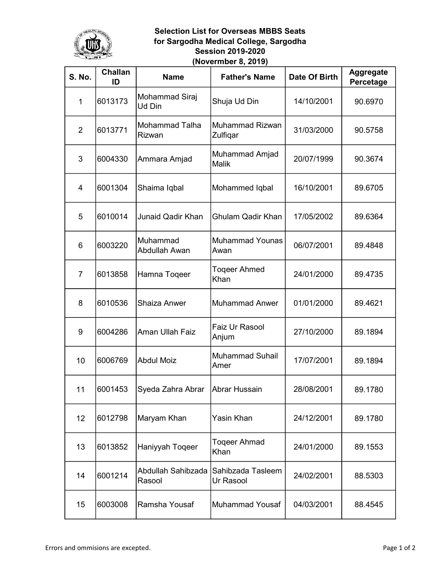

## Selection List for Overseas MBBS Seats for Sargodha Medical College, Sargodha Session 2019-2020 (Novermber 8, 2019)

| <b>S. No.</b>  | <b>Challan</b><br>ID | <b>Name</b>                            | <b>Father's Name</b>                  | Date Of Birth | <b>Aggregate</b><br>Percetage |
|----------------|----------------------|----------------------------------------|---------------------------------------|---------------|-------------------------------|
| $\mathbf{1}$   | 6013173              | Mohammad Siraj<br>Ud Din               | Shuja Ud Din                          | 14/10/2001    | 90.6970                       |
| $\overline{2}$ | 6013771              | <b>Mohammad Talha</b><br><b>Rizwan</b> | <b>Muhammad Rizwan</b><br>Zulfiqar    | 31/03/2000    | 90.5758                       |
| 3              | 6004330              | Ammara Amjad                           | <b>Muhammad Amjad</b><br><b>Malik</b> | 20/07/1999    | 90.3674                       |
| 4              | 6001304              | Shaima Iqbal                           | Mohammed Iqbal                        | 16/10/2001    | 89.6705                       |
| 5              | 6010014              | <b>Junaid Qadir Khan</b>               | <b>Ghulam Qadir Khan</b>              | 17/05/2002    | 89.6364                       |
| 6              | 6003220              | Muhammad<br>Abdullah Awan              | <b>Muhammad Younas</b><br>Awan        | 06/07/2001    | 89.4848                       |
| $\overline{7}$ | 6013858              | Hamna Togeer                           | <b>Togeer Ahmed</b><br>Khan           | 24/01/2000    | 89.4735                       |
| 8              | 6010536              | <b>Shaiza Anwer</b>                    | Muhammad Anwer                        | 01/01/2000    | 89.4621                       |
| 9              | 6004286              | Aman Ullah Faiz                        | Faiz Ur Rasool<br>Anjum               | 27/10/2000    | 89.1894                       |
| 10             | 6006769              | <b>Abdul Moiz</b>                      | <b>Muhammad Suhail</b><br>Amer        | 17/07/2001    | 89.1894                       |
| 11             | 6001453              | Syeda Zahra Abrar   Abrar Hussain      |                                       | 28/08/2001    | 89.1780                       |
| 12             | 6012798              | Maryam Khan                            | Yasin Khan                            | 24/12/2001    | 89.1780                       |
| 13             | 6013852              | Haniyyah Toqeer                        | <b>Togeer Ahmad</b><br>Khan           | 24/01/2000    | 89.1553                       |
| 14             | 6001214              | Abdullah Sahibzada<br>Rasool           | Sahibzada Tasleem<br>Ur Rasool        | 24/02/2001    | 88.5303                       |
| 15             | 6003008              | Ramsha Yousaf                          | Muhammad Yousaf                       | 04/03/2001    | 88.4545                       |